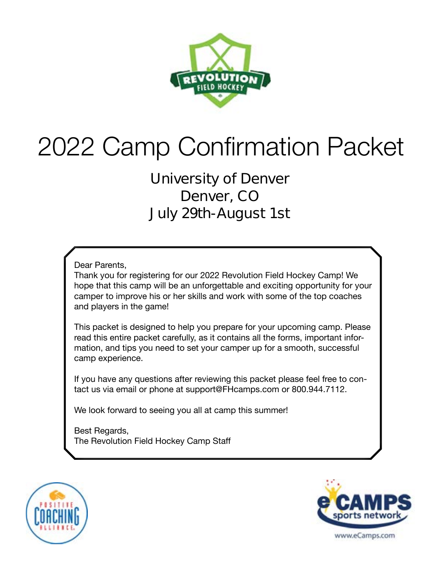

# 2022 Camp Confirmation Packet

### **University of Denver Denver, CO July 29th-August 1st**

Dear Parents,

Thank you for registering for our 2022 Revolution Field Hockey Camp! We hope that this camp will be an unforgettable and exciting opportunity for your camper to improve his or her skills and work with some of the top coaches and players in the game!

This packet is designed to help you prepare for your upcoming camp. Please read this entire packet carefully, as it contains all the forms, important information, and tips you need to set your camper up for a smooth, successful camp experience.

If you have any questions after reviewing this packet please feel free to contact us via email or phone at support@FHcamps.com or 800.944.7112.

We look forward to seeing you all at camp this summer!

Best Regards, The Revolution Field Hockey Camp Staff



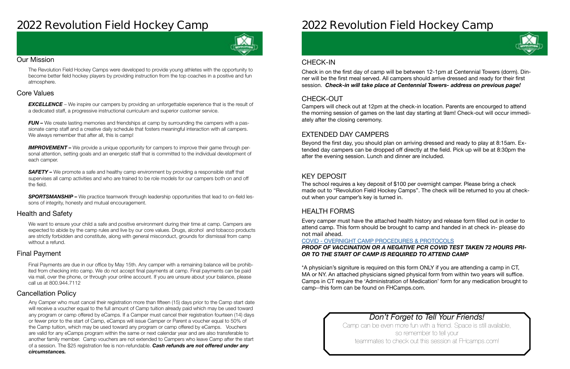### **2022 Revolution Field Hockey Camp**



#### Our Mission

The Revolution Field Hockey Camps were developed to provide young athletes with the opportunity to become better field hockey players by providing instruction from the top coaches in a positive and fun atmosphere.

#### Health and Safety

We want to ensure your child a safe and positive environment during their time at camp. Campers are expected to abide by the camp rules and live by our core values. Drugs, alcohol and tobacco products are strictly forbidden and constitute, along with general misconduct, grounds for dismissal from camp without a refund.

#### Cancellation Policy

#### Final Payment

**EXCELLENCE** – We inspire our campers by providing an unforgettable experience that is the result of a dedicated staff, a progressive instructional curriculum and superior customer service.

*FUN –* We create lasting memories and friendships at camp by surrounding the campers with a passionate camp staff and a creative daily schedule that fosters meaningful interaction with all campers. We always remember that after all, this is camp!

#### Core Values

**IMPROVEMENT** – We provide a unique opportunity for campers to improve their game through personal attention, setting goals and an energetic staff that is committed to the individual development of each camper.

**SAFETY** – We promote a safe and healthy camp environment by providing a responsible staff that supervises all camp activities and who are trained to be role models for our campers both on and off the field.

**SPORTSMANSHIP –** We practice teamwork through leadership opportunities that lead to on-field lessons of integrity, honesty and mutual encouragement.

Final Payments are due in our office by May 15th. Any camper with a remaining balance will be prohibited from checking into camp. We do not accept final payments at camp. Final payments can be paid via mail, over the phone, or through your online account. If you are unsure about your balance, please call us at 800.944.7112

Any Camper who must cancel their registration more than fifteen (15) days prior to the Camp start date will receive a voucher equal to the full amount of Camp tuition already paid which may be used toward any program or camp offered by eCamps. If a Camper must cancel their registration fourteen (14) days or fewer prior to the start of Camp, eCamps will issue Camper or Parent a voucher equal to 50% of the Camp tuition, which may be used toward any program or camp offered by eCamps. Vouchers are valid for any eCamps program within the same or next calendar year and are also transferable to another family member. Camp vouchers are not extended to Campers who leave Camp after the start of a session. The \$25 registration fee is non-refundable. *Cash refunds are not offered under any circumstances.*

## **2022 Revolution Field Hockey Camp**

### *Don't Forget to Tell Your Friends!*

Camp can be even more fun with a friend. Space is still available, so remember to tell your teammates to check out this session at FHcamps.com!



#### CHECK-OUT

#### EXTENDED DAY CAMPERS

#### KEY DEPOSIT

#### HEALTH FORMS

Campers will check out at 12pm at the check-in location. Parents are encourged to attend the morning session of games on the last day starting at 9am! Check-out will occur immediately after the closing ceremony.

Beyond the first day, you should plan on arriving dressed and ready to play at 8:15am. Extended day campers can be dropped off directly at the field. Pick up will be at 8:30pm the after the evening session. Lunch and dinner are included.

The school requires a key deposit of \$100 per overnight camper. Please bring a check made out to "Revolution Field Hockey Camps". The check will be returned to you at checkout when your camper's key is turned in.

Every camper must have the attached health history and release form filled out in order to attend camp. This form should be brought to camp and handed in at check in- **please do not mail ahead**.

#### COVID - [OVERNIGHT CAMP PROCEDURES & PROTOCOLS](https://laxcamps.com/wp-content/uploads/COVID-19-eCamps-Sports-Network-Guidlines-Overnight-Camp.pdf) *PROOF OF VACCINATION OR A NEGATIVE PCR COVID TEST TAKEN 72 HOURS PRI-OR TO THE START OF CAMP IS REQUIRED TO ATTEND CAMP*

\*A physician's signiture is required on this form ONLY if you are attending a camp in CT, MA or NY. An attached physicians signed physical form from within two years will suffice. Camps in CT require the 'Administration of Medication' form for any medication brought to camp--this form can be found on FHCamps.com.

#### CHECK-IN

Check in on the first day of camp will be between 12-1pm at Centennial Towers (dorm). Dinner will be the first meal served. All campers should arrive dressed and ready for their first session. *Check-in will take place at Centennial Towers- address on previous page!*